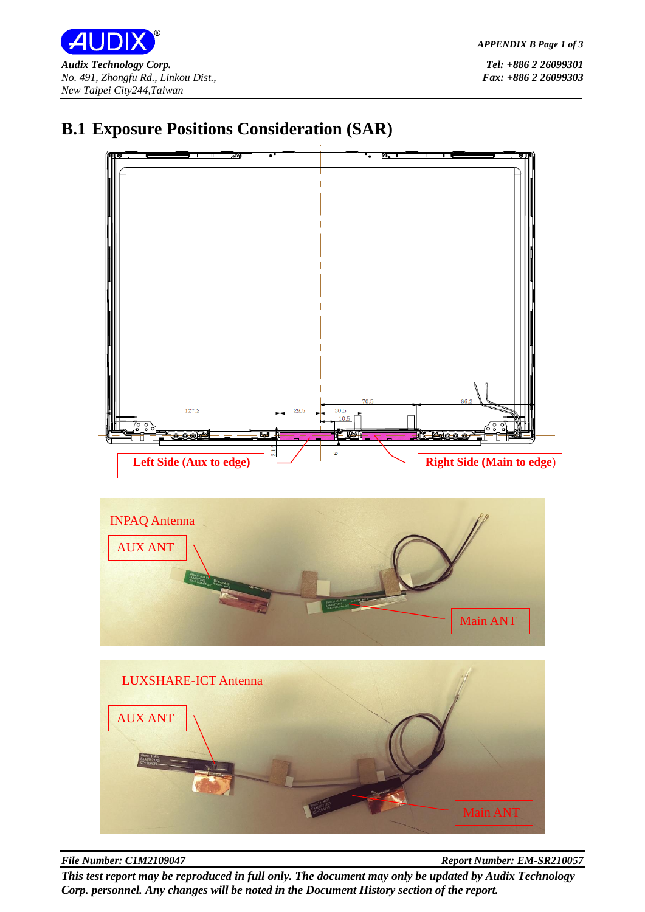



## **B.1 Exposure Positions Consideration (SAR)**

*File Number: C1M2109047 Report Number: EM-SR210057*

*This test report may be reproduced in full only. The document may only be updated by Audix Technology Corp. personnel. Any changes will be noted in the Document History section of the report.*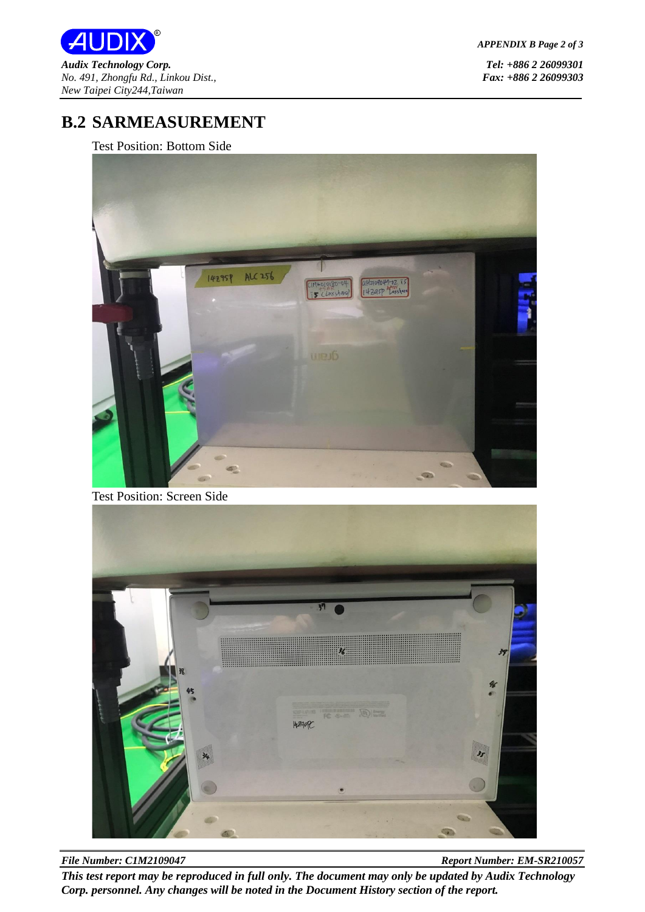

*APPENDIX B Page 2 of 3*

## **B.2 SARMEASUREMENT**

Test Position: Bottom Side



Test Position: Screen Side



*File Number: C1M2109047 Report Number: EM-SR210057 This test report may be reproduced in full only. The document may only be updated by Audix Technology Corp. personnel. Any changes will be noted in the Document History section of the report.*